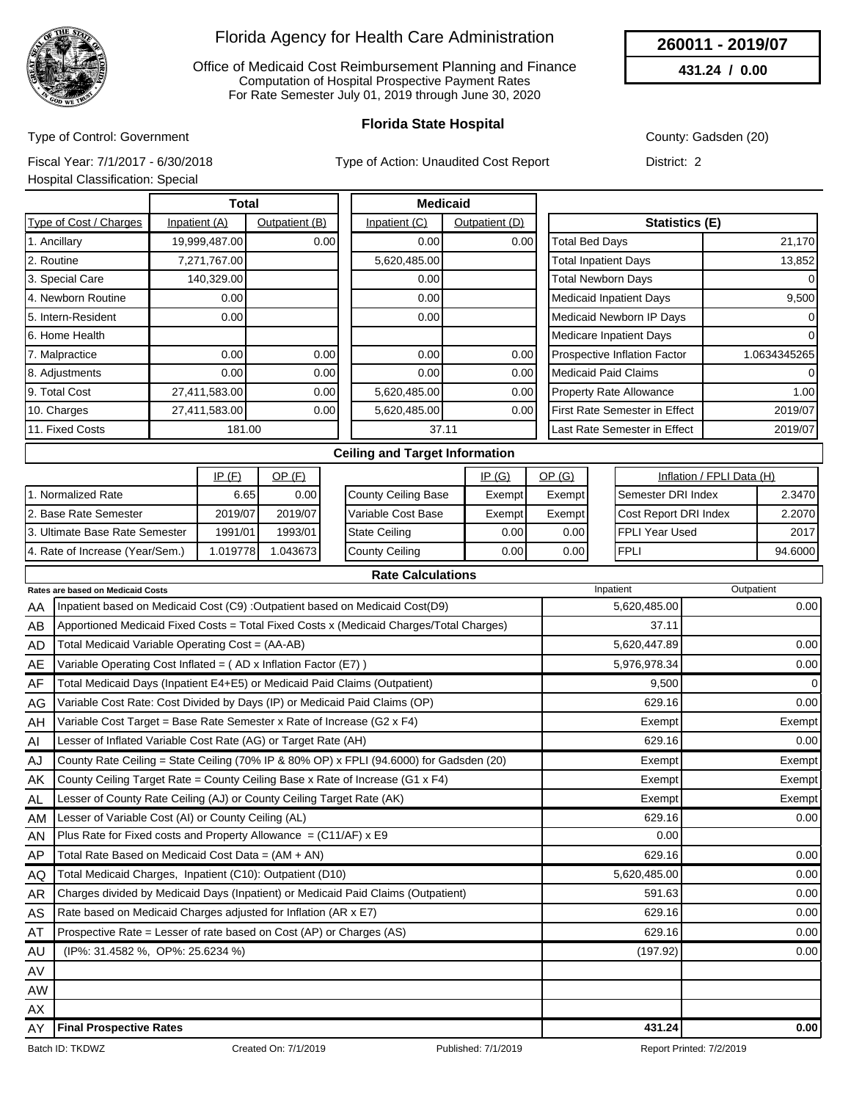

Office of Medicaid Cost Reimbursement Planning and Finance Computation of Hospital Prospective Payment Rates For Rate Semester July 01, 2019 through June 30, 2020

### **Florida State Hospital**

County: Gadsden (20)

**260011 - 2019/07 431.24 / 0.00**

Type of Control: Government

Type of Action: Unaudited Cost Report

Fiscal Year: 7/1/2017 - 6/30/2018 Hospital Classification: Special

District: 2

|                               | <b>Total</b>  |                |               | <b>Medicaid</b> |                                     |              |
|-------------------------------|---------------|----------------|---------------|-----------------|-------------------------------------|--------------|
| <b>Type of Cost / Charges</b> | Inpatient (A) | Outpatient (B) | Inpatient (C) | Outpatient (D)  | Statistics (E)                      |              |
| 1. Ancillary                  | 19,999,487.00 | 0.00           | 0.00          | 0.00            | Total Bed Days                      | 21,170       |
| 2. Routine                    | 7,271,767.00  |                | 5,620,485.00  |                 | <b>Total Inpatient Days</b>         | 13,852       |
| 3. Special Care               | 140,329.00    |                | 0.00          |                 | <b>Total Newborn Days</b>           | $\Omega$     |
| 4. Newborn Routine            | 0.00          |                | 0.00          |                 | <b>Medicaid Inpatient Days</b>      | 9,500        |
| 5. Intern-Resident            | 0.00          |                | 0.00          |                 | Medicaid Newborn IP Days            | 0            |
| 6. Home Health                |               |                |               |                 | Medicare Inpatient Days             | 0            |
| 7. Malpractice                | 0.00          | 0.00           | 0.00          | 0.00            | <b>Prospective Inflation Factor</b> | 1.0634345265 |
| 8. Adjustments                | 0.00          | 0.00           | 0.00          | 0.00            | <b>Medicaid Paid Claims</b>         | $\Omega$     |
| 9. Total Cost                 | 27,411,583.00 | 0.00           | 5,620,485.00  | 0.00            | <b>Property Rate Allowance</b>      | 1.00         |
| 10. Charges                   | 27,411,583.00 | 0.00           | 5,620,485.00  | 0.00            | First Rate Semester in Effect       | 2019/07      |
| 11. Fixed Costs               | 181.00        |                |               | 37.11           | Last Rate Semester in Effect        | 2019/07      |
|                               |               |                |               |                 |                                     |              |

#### **Ceiling and Target Information**

|                                 | IP(F)    | <u>OP (F)</u> |                     | <u>IP (G)</u> | OP (G) | Inflation / FPLI Data (H)   |         |
|---------------------------------|----------|---------------|---------------------|---------------|--------|-----------------------------|---------|
| 1. Normalized Rate              | 6.651    | 0.001         | County Ceiling Base | Exempt        | Exempt | <b>I</b> Semester DRI Index | 2.3470  |
| 2. Base Rate Semester           | 2019/07  | 2019/07       | Variable Cost Base  | Exempt        | Exempt | Cost Report DRI Index       | 2.2070  |
| 3. Ultimate Base Rate Semester  | 1991/01  | 1993/01       | State Ceiling       | 0.001         | 0.001  | IFPLI Year Used             | 2017    |
| 4. Rate of Increase (Year/Sem.) | .0197781 | .0436731      | County Ceiling      | 0.001         | 0.001  | <b>IFPLI</b>                | 94.6000 |

|           | <b>Rate Calculations</b>                                                                |              |            |
|-----------|-----------------------------------------------------------------------------------------|--------------|------------|
|           | Rates are based on Medicaid Costs                                                       | Inpatient    | Outpatient |
| AA        | Inpatient based on Medicaid Cost (C9) : Outpatient based on Medicaid Cost (D9)          | 5,620,485.00 | 0.00       |
| AB        | Apportioned Medicaid Fixed Costs = Total Fixed Costs x (Medicaid Charges/Total Charges) | 37.11        |            |
| AD        | Total Medicaid Variable Operating Cost = (AA-AB)                                        | 5,620,447.89 | 0.00       |
| AE        | Variable Operating Cost Inflated = (AD x Inflation Factor (E7))                         | 5,976,978.34 | 0.00       |
| AF        | Total Medicaid Days (Inpatient E4+E5) or Medicaid Paid Claims (Outpatient)              | 9,500        | 0          |
| AG        | Variable Cost Rate: Cost Divided by Days (IP) or Medicaid Paid Claims (OP)              | 629.16       | 0.00       |
| AH        | Variable Cost Target = Base Rate Semester x Rate of Increase (G2 x F4)                  | Exempt       | Exempt     |
| AI        | Lesser of Inflated Variable Cost Rate (AG) or Target Rate (AH)                          | 629.16       | 0.00       |
| AJ        | County Rate Ceiling = State Ceiling (70% IP & 80% OP) x FPLI (94.6000) for Gadsden (20) | Exempt       | Exempt     |
| AK        | County Ceiling Target Rate = County Ceiling Base x Rate of Increase (G1 x F4)           | Exempt       | Exempt     |
| AL.       | Lesser of County Rate Ceiling (AJ) or County Ceiling Target Rate (AK)                   | Exempt       | Exempt     |
| AM        | Lesser of Variable Cost (AI) or County Ceiling (AL)                                     | 629.16       | 0.00       |
| AN        | Plus Rate for Fixed costs and Property Allowance = $(C11/AF)$ x E9                      | 0.00         |            |
| AP        | Total Rate Based on Medicaid Cost Data = (AM + AN)                                      | 629.16       | 0.00       |
| AQ        | Total Medicaid Charges, Inpatient (C10): Outpatient (D10)                               | 5,620,485.00 | 0.00       |
| <b>AR</b> | Charges divided by Medicaid Days (Inpatient) or Medicaid Paid Claims (Outpatient)       | 591.63       | 0.00       |
| AS        | Rate based on Medicaid Charges adjusted for Inflation (AR x E7)                         | 629.16       | 0.00       |
| AT        | Prospective Rate = Lesser of rate based on Cost (AP) or Charges (AS)                    | 629.16       | 0.00       |
| AU        | (IP%: 31.4582 %, OP%: 25.6234 %)                                                        | (197.92)     | 0.00       |
| AV        |                                                                                         |              |            |
| <b>AW</b> |                                                                                         |              |            |
| AX        |                                                                                         |              |            |
| AY        | <b>Final Prospective Rates</b>                                                          | 431.24       | 0.00       |

Batch ID: TKDWZ Created On: 7/1/2019 Published: 7/1/2019 Published: 7/1/2019 Report Printed: 7/2/2019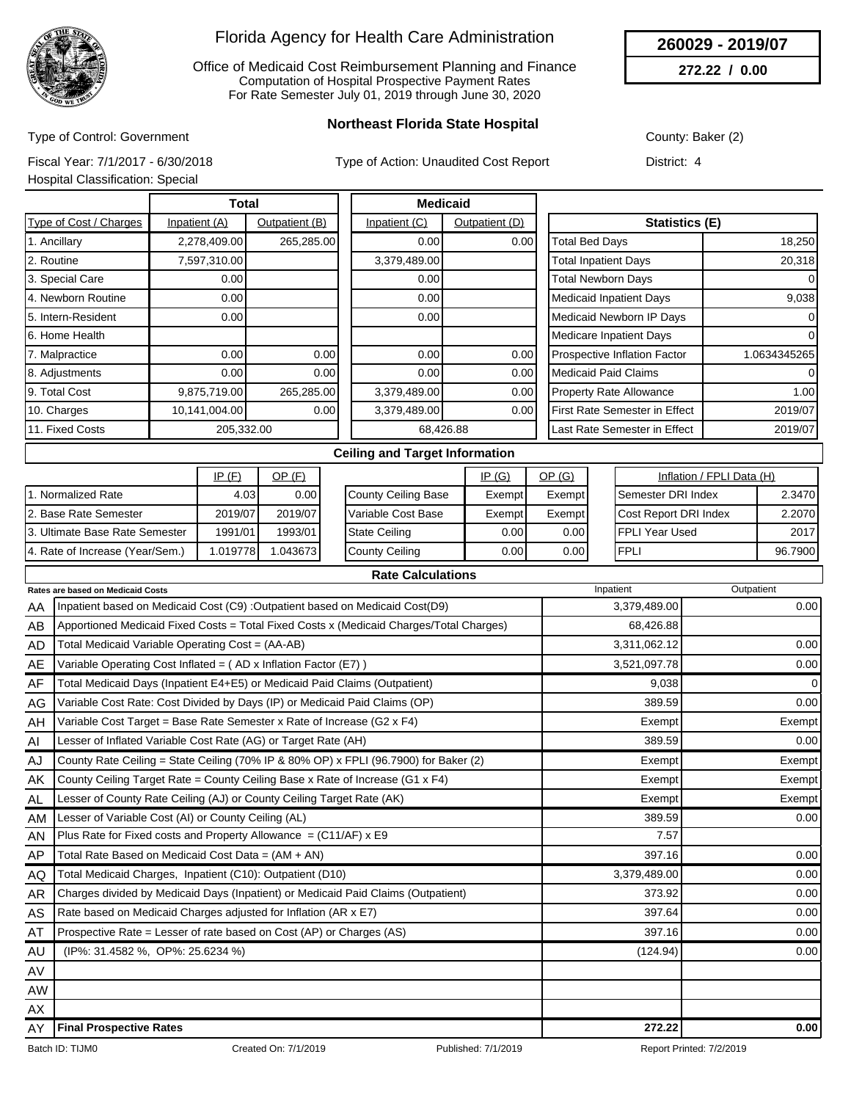

Office of Medicaid Cost Reimbursement Planning and Finance Computation of Hospital Prospective Payment Rates For Rate Semester July 01, 2019 through June 30, 2020

**260029 - 2019/07**

**272.22 / 0.00**

Type of Control: Government

**Northeast Florida State Hospital**

County: Baker (2)

District: 4

Fiscal Year: 7/1/2017 - 6/30/2018

Type of Action: Unaudited Cost

|  |  | t Report |  |
|--|--|----------|--|
|--|--|----------|--|

Hospital Classification: Special

|                        | Total         |                |               | <b>Medicaid</b> |                                |              |
|------------------------|---------------|----------------|---------------|-----------------|--------------------------------|--------------|
| Type of Cost / Charges | Inpatient (A) | Outpatient (B) | Inpatient (C) | Outpatient (D)  | <b>Statistics (E)</b>          |              |
| 1. Ancillary           | 2,278,409.00  | 265,285.00     | 0.00          | 0.00            | <b>Total Bed Days</b>          | 18,250       |
| 2. Routine             | 7,597,310.00  |                | 3,379,489.00  |                 | <b>Total Inpatient Days</b>    | 20,318       |
| 3. Special Care        | 0.00          |                | 0.00          |                 | <b>Total Newborn Days</b>      | $\Omega$     |
| 4. Newborn Routine     | 0.00          |                | 0.00          |                 | <b>Medicaid Inpatient Days</b> | 9,038        |
| 5. Intern-Resident     | 0.00          |                | 0.00          |                 | Medicaid Newborn IP Days       | 0            |
| 6. Home Health         |               |                |               |                 | <b>Medicare Inpatient Days</b> | 0            |
| 7. Malpractice         | 0.00          | 0.00           | 0.00          | 0.00            | Prospective Inflation Factor   | 1.0634345265 |
| 8. Adjustments         | 0.00          | 0.00           | 0.00          | 0.00            | <b>Medicaid Paid Claims</b>    | $\Omega$     |
| 9. Total Cost          | 9,875,719.00  | 265,285.00     | 3,379,489.00  | 0.00            | <b>Property Rate Allowance</b> | 1.00         |
| 10. Charges            | 10,141,004.00 | 0.00           | 3,379,489.00  | 0.00            | First Rate Semester in Effect  | 2019/07      |
| 11. Fixed Costs        | 205,332.00    |                |               | 68,426.88       | Last Rate Semester in Effect   | 2019/07      |
|                        |               |                |               |                 |                                |              |

#### **Ceiling and Target Information**

|                                 | IP(F)    | OP(F)    |                        | IP(G)             | OP (G) | Inflation / FPLI Data (H)    |         |
|---------------------------------|----------|----------|------------------------|-------------------|--------|------------------------------|---------|
| Normalized Rate                 | 4.03     | 0.00     | County Ceiling Base    | Exempt            | Exempt | <b>I</b> Semester DRI Index  | 2.3470  |
| 2. Base Rate Semester           | 2019/07  | 2019/07  | l Variable Cost Base   | Exempt            | Exempt | <b>Cost Report DRI Index</b> | 2.2070  |
| 3. Ultimate Base Rate Semester  | 1991/01  | 1993/01  | <b>I</b> State Ceiling | 0.001             | 0.00 l | IFPLI Year Used              | 2017    |
| 4. Rate of Increase (Year/Sem.) | 1.019778 | .0436731 | County Ceiling         | 0.00 <sub>l</sub> | 0.00   | <b>FPLI</b>                  | 96.7900 |

|           | <b>Rate Calculations</b>                                                                |              |             |
|-----------|-----------------------------------------------------------------------------------------|--------------|-------------|
|           | <b>Rates are based on Medicaid Costs</b>                                                | Inpatient    | Outpatient  |
| AA        | Inpatient based on Medicaid Cost (C9) : Outpatient based on Medicaid Cost(D9)           | 3,379,489.00 | 0.00        |
| AB        | Apportioned Medicaid Fixed Costs = Total Fixed Costs x (Medicaid Charges/Total Charges) | 68,426.88    |             |
| AD        | Total Medicaid Variable Operating Cost = (AA-AB)                                        | 3,311,062.12 | 0.00        |
| AE        | Variable Operating Cost Inflated = (AD x Inflation Factor (E7))                         | 3,521,097.78 | 0.00        |
| AF        | Total Medicaid Days (Inpatient E4+E5) or Medicaid Paid Claims (Outpatient)              | 9,038        | $\mathbf 0$ |
| AG        | Variable Cost Rate: Cost Divided by Days (IP) or Medicaid Paid Claims (OP)              | 389.59       | 0.00        |
| AH        | Variable Cost Target = Base Rate Semester x Rate of Increase (G2 x F4)                  | Exempt       | Exempt      |
| AI        | Lesser of Inflated Variable Cost Rate (AG) or Target Rate (AH)                          | 389.59       | 0.00        |
| AJ        | County Rate Ceiling = State Ceiling (70% IP & 80% OP) x FPLI (96.7900) for Baker (2)    | Exempt       | Exempt      |
| AK        | County Ceiling Target Rate = County Ceiling Base x Rate of Increase (G1 x F4)           | Exempt       | Exempt      |
| AL.       | Lesser of County Rate Ceiling (AJ) or County Ceiling Target Rate (AK)                   | Exempt       | Exempt      |
| AM        | Lesser of Variable Cost (AI) or County Ceiling (AL)                                     | 389.59       | 0.00        |
| AN        | Plus Rate for Fixed costs and Property Allowance = $(C11/AF)$ x E9                      | 7.57         |             |
| AP        | Total Rate Based on Medicaid Cost Data = (AM + AN)                                      | 397.16       | 0.00        |
| AQ        | Total Medicaid Charges, Inpatient (C10): Outpatient (D10)                               | 3,379,489.00 | 0.00        |
| <b>AR</b> | Charges divided by Medicaid Days (Inpatient) or Medicaid Paid Claims (Outpatient)       | 373.92       | 0.00        |
| AS        | Rate based on Medicaid Charges adjusted for Inflation (AR x E7)                         | 397.64       | 0.00        |
| AT        | Prospective Rate = Lesser of rate based on Cost (AP) or Charges (AS)                    | 397.16       | 0.00        |
| AU        | (IP%: 31.4582 %, OP%: 25.6234 %)                                                        | (124.94)     | 0.00        |
| AV        |                                                                                         |              |             |
| <b>AW</b> |                                                                                         |              |             |
| AX        |                                                                                         |              |             |
| AY        | <b>Final Prospective Rates</b>                                                          | 272.22       | 0.00        |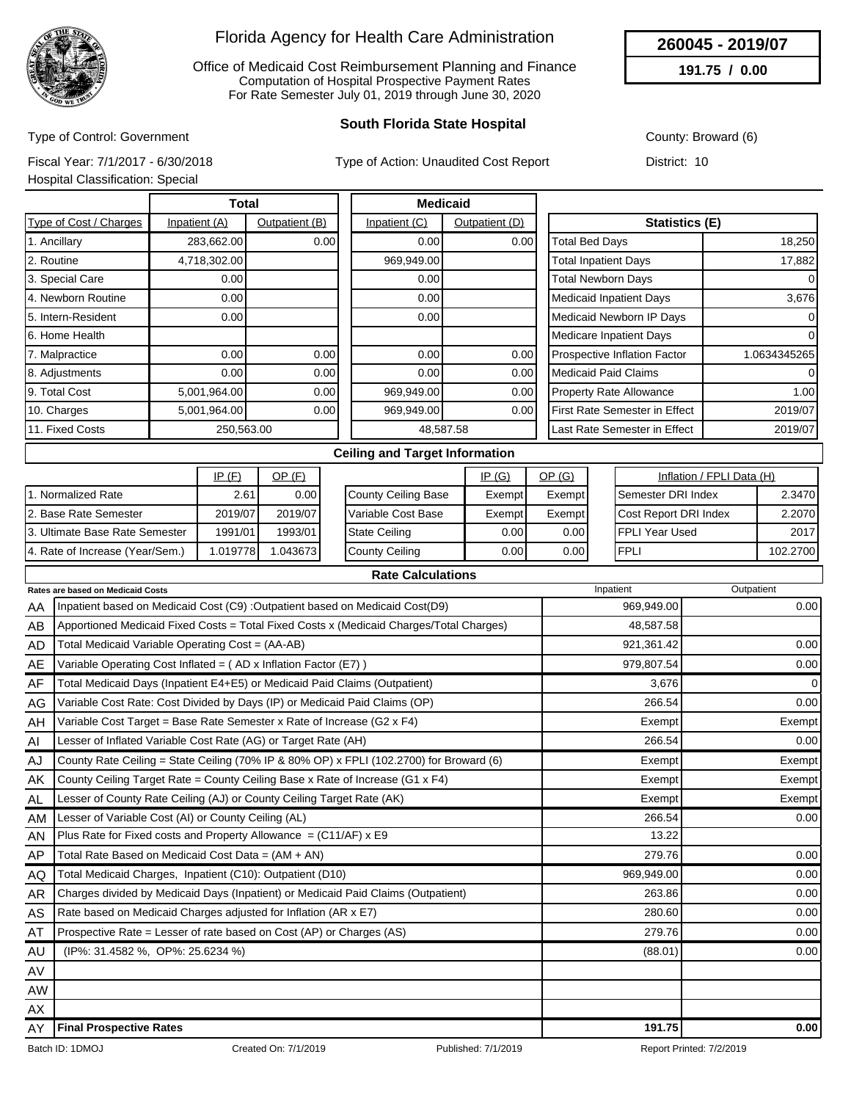

Office of Medicaid Cost Reimbursement Planning and Finance Computation of Hospital Prospective Payment Rates For Rate Semester July 01, 2019 through June 30, 2020

## **South Florida State Hospital**

County: Broward (6)

**260045 - 2019/07 191.75 / 0.00**

Type of Control: Government Fiscal Year: 7/1/2017 - 6/30/2018

Type of Action: Unaudited Cost Report

Hospital Classification: Special

District: 10

|                        | <b>Total</b>  |                |               | <b>Medicaid</b> |                                     |              |
|------------------------|---------------|----------------|---------------|-----------------|-------------------------------------|--------------|
| Type of Cost / Charges | Inpatient (A) | Outpatient (B) | Inpatient (C) | Outpatient (D)  | <b>Statistics (E)</b>               |              |
| 1. Ancillary           | 283,662.00    | 0.00           | 0.00          | 0.00            | <b>Total Bed Days</b>               | 18,250       |
| 2. Routine             | 4,718,302.00  |                | 969,949.00    |                 | <b>Total Inpatient Days</b>         | 17,882       |
| 3. Special Care        | 0.00          |                | 0.00          |                 | <b>Total Newborn Days</b>           | $\Omega$     |
| 4. Newborn Routine     | 0.00          |                | 0.00          |                 | <b>Medicaid Inpatient Days</b>      | 3,676        |
| 5. Intern-Resident     | 0.00          |                | 0.001         |                 | Medicaid Newborn IP Days            | 0            |
| 6. Home Health         |               |                |               |                 | Medicare Inpatient Days             | 0            |
| 7. Malpractice         | 0.00          | 0.00           | 0.00          | 0.00            | <b>Prospective Inflation Factor</b> | 1.0634345265 |
| 8. Adjustments         | 0.00          | 0.00           | 0.00          | 0.00            | <b>Medicaid Paid Claims</b>         | $\Omega$     |
| 9. Total Cost          | 5,001,964.00  | 0.00           | 969,949.00    | 0.00            | <b>Property Rate Allowance</b>      | 1.00         |
| 10. Charges            | 5,001,964.00  | 0.00           | 969,949.00    | 0.00            | First Rate Semester in Effect       | 2019/07      |
| 11. Fixed Costs        | 250,563.00    |                |               | 48,587.58       | Last Rate Semester in Effect        | 2019/07      |
|                        |               |                |               |                 |                                     |              |

#### **Ceiling and Target Information**

|                                 | IP(F)    | OP (F)            |                      | <u>IP (G)</u> | <u>OP (G)</u> | Inflation / FPLI Data (H)    |          |
|---------------------------------|----------|-------------------|----------------------|---------------|---------------|------------------------------|----------|
| . Normalized Rate               | 2.61     | 0.00 <sub>l</sub> | County Ceiling Base  | Exempt        | Exempt        | <b>I</b> Semester DRI Index  | 2.3470   |
| 12. Base Rate Semester          | 2019/07  | 2019/07           | l Variable Cost Base | Exempt        | Exempt        | <b>Cost Report DRI Index</b> | 2.2070   |
| 13. Ultimate Base Rate Semester | 1991/01  | 1993/01           | <b>State Ceiling</b> | 0.001         | 0.00          | IFPLI Year Used              | 2017     |
| 4. Rate of Increase (Year/Sem.) | .0197781 | .0436731          | County Ceiling       | 0.001         | 0.00          | <b>FPLI</b>                  | 102.2700 |

|           | <b>Rate Calculations</b>                                                                |            |             |
|-----------|-----------------------------------------------------------------------------------------|------------|-------------|
|           | Rates are based on Medicaid Costs                                                       | Inpatient  | Outpatient  |
| AA        | Inpatient based on Medicaid Cost (C9) : Outpatient based on Medicaid Cost(D9)           | 969,949.00 | 0.00        |
| AB        | Apportioned Medicaid Fixed Costs = Total Fixed Costs x (Medicaid Charges/Total Charges) | 48,587.58  |             |
| AD        | Total Medicaid Variable Operating Cost = (AA-AB)                                        | 921,361.42 | 0.00        |
| AE        | Variable Operating Cost Inflated = $(AD x)$ Inflation Factor (E7) )                     | 979,807.54 | 0.00        |
| AF        | Total Medicaid Days (Inpatient E4+E5) or Medicaid Paid Claims (Outpatient)              | 3,676      | $\mathbf 0$ |
| AG        | Variable Cost Rate: Cost Divided by Days (IP) or Medicaid Paid Claims (OP)              | 266.54     | 0.00        |
| AH        | Variable Cost Target = Base Rate Semester x Rate of Increase (G2 x F4)                  | Exempt     | Exempt      |
| AI        | Lesser of Inflated Variable Cost Rate (AG) or Target Rate (AH)                          | 266.54     | 0.00        |
| AJ        | County Rate Ceiling = State Ceiling (70% IP & 80% OP) x FPLI (102.2700) for Broward (6) | Exempt     | Exempt      |
| AK        | County Ceiling Target Rate = County Ceiling Base x Rate of Increase (G1 x F4)           | Exempt     | Exempt      |
| AL.       | Lesser of County Rate Ceiling (AJ) or County Ceiling Target Rate (AK)                   | Exempt     | Exempt      |
| <b>AM</b> | Lesser of Variable Cost (AI) or County Ceiling (AL)                                     | 266.54     | 0.00        |
| AN        | Plus Rate for Fixed costs and Property Allowance = $(C11/AF)$ x E9                      | 13.22      |             |
| AP        | Total Rate Based on Medicaid Cost Data = $(AM + AN)$                                    | 279.76     | 0.00        |
| AQ        | Total Medicaid Charges, Inpatient (C10): Outpatient (D10)                               | 969,949.00 | 0.00        |
| AR        | Charges divided by Medicaid Days (Inpatient) or Medicaid Paid Claims (Outpatient)       | 263.86     | 0.00        |
| AS        | Rate based on Medicaid Charges adjusted for Inflation (AR x E7)                         | 280.60     | 0.00        |
| AT        | Prospective Rate = Lesser of rate based on Cost (AP) or Charges (AS)                    | 279.76     | 0.00        |
| AU        | (IP%: 31.4582 %, OP%: 25.6234 %)                                                        | (88.01)    | 0.00        |
| AV        |                                                                                         |            |             |
| <b>AW</b> |                                                                                         |            |             |
| AX        |                                                                                         |            |             |
| AY        | <b>Final Prospective Rates</b>                                                          | 191.75     | 0.00        |

Batch ID: 1DMOJ Created On: 7/1/2019 Published: 7/1/2019 Published: 7/1/2019 Report Printed: 7/2/2019